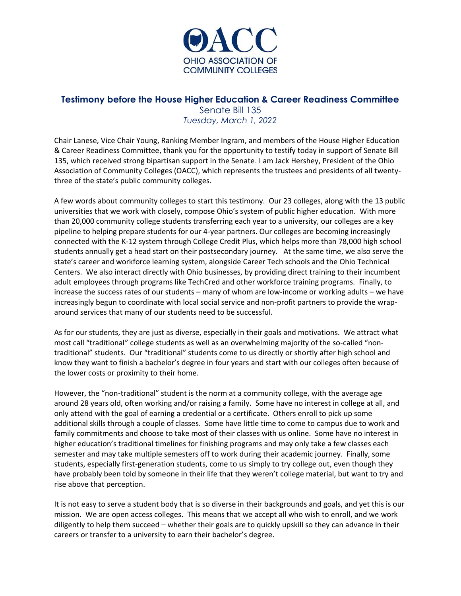

# **Testimony before the House Higher Education & Career Readiness Committee**

Senate Bill 135 *Tuesday, March 1, 2022*

Chair Lanese, Vice Chair Young, Ranking Member Ingram, and members of the House Higher Education & Career Readiness Committee, thank you for the opportunity to testify today in support of Senate Bill 135, which received strong bipartisan support in the Senate. I am Jack Hershey, President of the Ohio Association of Community Colleges (OACC), which represents the trustees and presidents of all twentythree of the state's public community colleges.

A few words about community colleges to start this testimony. Our 23 colleges, along with the 13 public universities that we work with closely, compose Ohio's system of public higher education. With more than 20,000 community college students transferring each year to a university, our colleges are a key pipeline to helping prepare students for our 4-year partners. Our colleges are becoming increasingly connected with the K-12 system through College Credit Plus, which helps more than 78,000 high school students annually get a head start on their postsecondary journey. At the same time, we also serve the state's career and workforce learning system, alongside Career Tech schools and the Ohio Technical Centers. We also interact directly with Ohio businesses, by providing direct training to their incumbent adult employees through programs like TechCred and other workforce training programs. Finally, to increase the success rates of our students – many of whom are low-income or working adults – we have increasingly begun to coordinate with local social service and non-profit partners to provide the wraparound services that many of our students need to be successful.

As for our students, they are just as diverse, especially in their goals and motivations. We attract what most call "traditional" college students as well as an overwhelming majority of the so-called "nontraditional" students. Our "traditional" students come to us directly or shortly after high school and know they want to finish a bachelor's degree in four years and start with our colleges often because of the lower costs or proximity to their home.

However, the "non-traditional" student is the norm at a community college, with the average age around 28 years old, often working and/or raising a family. Some have no interest in college at all, and only attend with the goal of earning a credential or a certificate. Others enroll to pick up some additional skills through a couple of classes. Some have little time to come to campus due to work and family commitments and choose to take most of their classes with us online. Some have no interest in higher education's traditional timelines for finishing programs and may only take a few classes each semester and may take multiple semesters off to work during their academic journey. Finally, some students, especially first-generation students, come to us simply to try college out, even though they have probably been told by someone in their life that they weren't college material, but want to try and rise above that perception.

It is not easy to serve a student body that is so diverse in their backgrounds and goals, and yet this is our mission. We are open access colleges. This means that we accept all who wish to enroll, and we work diligently to help them succeed – whether their goals are to quickly upskill so they can advance in their careers or transfer to a university to earn their bachelor's degree.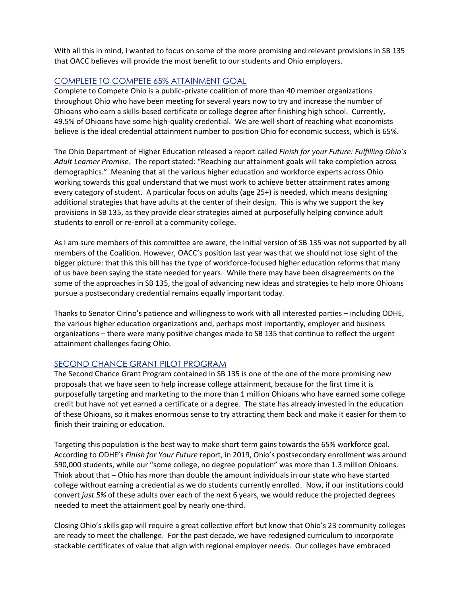With all this in mind, I wanted to focus on some of the more promising and relevant provisions in SB 135 that OACC believes will provide the most benefit to our students and Ohio employers.

## COMPLETE TO COMPETE 65% ATTAINMENT GOAL

Complete to Compete Ohio is a public-private coalition of more than 40 member organizations throughout Ohio who have been meeting for several years now to try and increase the number of Ohioans who earn a skills-based certificate or college degree after finishing high school. Currently, 49.5% of Ohioans have some high-quality credential. We are well short of reaching what economists believe is the ideal credential attainment number to position Ohio for economic success, which is 65%.

The Ohio Department of Higher Education released a report called *Finish for your Future: Fulfilling Ohio's Adult Learner Promise*. The report stated: "Reaching our attainment goals will take completion across demographics." Meaning that all the various higher education and workforce experts across Ohio working towards this goal understand that we must work to achieve better attainment rates among every category of student. A particular focus on adults (age 25+) is needed, which means designing additional strategies that have adults at the center of their design. This is why we support the key provisions in SB 135, as they provide clear strategies aimed at purposefully helping convince adult students to enroll or re-enroll at a community college.

As I am sure members of this committee are aware, the initial version of SB 135 was not supported by all members of the Coalition. However, OACC's position last year was that we should not lose sight of the bigger picture: that this this bill has the type of workforce-focused higher education reforms that many of us have been saying the state needed for years. While there may have been disagreements on the some of the approaches in SB 135, the goal of advancing new ideas and strategies to help more Ohioans pursue a postsecondary credential remains equally important today.

Thanks to Senator Cirino's patience and willingness to work with all interested parties – including ODHE, the various higher education organizations and, perhaps most importantly, employer and business organizations – there were many positive changes made to SB 135 that continue to reflect the urgent attainment challenges facing Ohio.

## SECOND CHANCE GRANT PILOT PROGRAM

The Second Chance Grant Program contained in SB 135 is one of the one of the more promising new proposals that we have seen to help increase college attainment, because for the first time it is purposefully targeting and marketing to the more than 1 million Ohioans who have earned some college credit but have not yet earned a certificate or a degree. The state has already invested in the education of these Ohioans, so it makes enormous sense to try attracting them back and make it easier for them to finish their training or education.

Targeting this population is the best way to make short term gains towards the 65% workforce goal. According to ODHE's *Finish for Your Future* report, in 2019, Ohio's postsecondary enrollment was around 590,000 students, while our "some college, no degree population" was more than 1.3 million Ohioans. Think about that – Ohio has more than double the amount individuals in our state who have started college without earning a credential as we do students currently enrolled. Now, if our institutions could convert *just 5%* of these adults over each of the next 6 years, we would reduce the projected degrees needed to meet the attainment goal by nearly one-third.

Closing Ohio's skills gap will require a great collective effort but know that Ohio's 23 community colleges are ready to meet the challenge. For the past decade, we have redesigned curriculum to incorporate stackable certificates of value that align with regional employer needs. Our colleges have embraced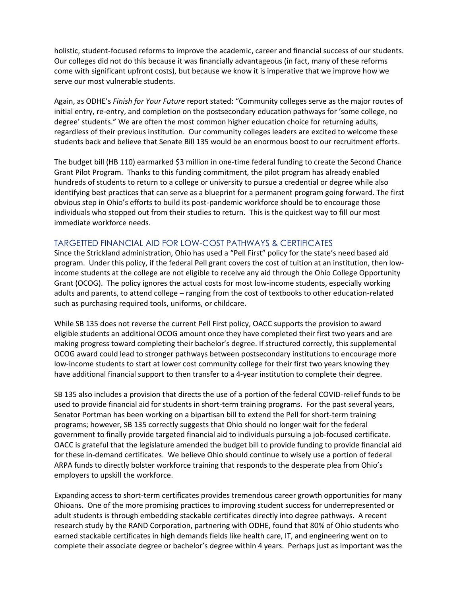holistic, student-focused reforms to improve the academic, career and financial success of our students. Our colleges did not do this because it was financially advantageous (in fact, many of these reforms come with significant upfront costs), but because we know it is imperative that we improve how we serve our most vulnerable students.

Again, as ODHE's *Finish for Your Future* report stated: "Community colleges serve as the major routes of initial entry, re-entry, and completion on the postsecondary education pathways for 'some college, no degree' students." We are often the most common higher education choice for returning adults, regardless of their previous institution. Our community colleges leaders are excited to welcome these students back and believe that Senate Bill 135 would be an enormous boost to our recruitment efforts.

The budget bill (HB 110) earmarked \$3 million in one-time federal funding to create the Second Chance Grant Pilot Program. Thanks to this funding commitment, the pilot program has already enabled hundreds of students to return to a college or university to pursue a credential or degree while also identifying best practices that can serve as a blueprint for a permanent program going forward. The first obvious step in Ohio's efforts to build its post-pandemic workforce should be to encourage those individuals who stopped out from their studies to return. This is the quickest way to fill our most immediate workforce needs.

#### TARGETTED FINANCIAL AID FOR LOW-COST PATHWAYS & CERTIFICATES

Since the Strickland administration, Ohio has used a "Pell First" policy for the state's need based aid program. Under this policy, if the federal Pell grant covers the cost of tuition at an institution, then lowincome students at the college are not eligible to receive any aid through the Ohio College Opportunity Grant (OCOG). The policy ignores the actual costs for most low-income students, especially working adults and parents, to attend college – ranging from the cost of textbooks to other education-related such as purchasing required tools, uniforms, or childcare.

While SB 135 does not reverse the current Pell First policy, OACC supports the provision to award eligible students an additional OCOG amount once they have completed their first two years and are making progress toward completing their bachelor's degree. If structured correctly, this supplemental OCOG award could lead to stronger pathways between postsecondary institutions to encourage more low-income students to start at lower cost community college for their first two years knowing they have additional financial support to then transfer to a 4-year institution to complete their degree.

SB 135 also includes a provision that directs the use of a portion of the federal COVID-relief funds to be used to provide financial aid for students in short-term training programs. For the past several years, Senator Portman has been working on a bipartisan bill to extend the Pell for short-term training programs; however, SB 135 correctly suggests that Ohio should no longer wait for the federal government to finally provide targeted financial aid to individuals pursuing a job-focused certificate. OACC is grateful that the legislature amended the budget bill to provide funding to provide financial aid for these in-demand certificates. We believe Ohio should continue to wisely use a portion of federal ARPA funds to directly bolster workforce training that responds to the desperate plea from Ohio's employers to upskill the workforce.

Expanding access to short-term certificates provides tremendous career growth opportunities for many Ohioans. One of the more promising practices to improving student success for underrepresented or adult students is through embedding stackable certificates directly into degree pathways. A recent research study by the RAND Corporation, partnering with ODHE, found that 80% of Ohio students who earned stackable certificates in high demands fields like health care, IT, and engineering went on to complete their associate degree or bachelor's degree within 4 years. Perhaps just as important was the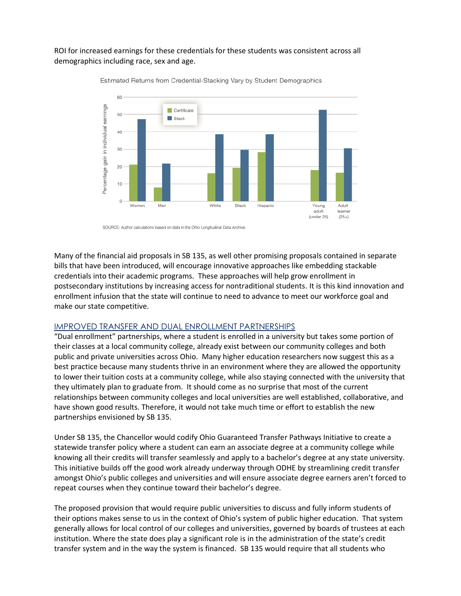### ROI for increased earnings for these credentials for these students was consistent across all demographics including race, sex and age.



Estimated Returns from Credential-Stacking Vary by Student Demographics

SOURCE: Author calculations based on data in the Ohio Longitudinal Data Archive.

Many of the financial aid proposals in SB 135, as well other promising proposals contained in separate bills that have been introduced, will encourage innovative approaches like embedding stackable credentials into their academic programs. These approaches will help grow enrollment in postsecondary institutions by increasing access for nontraditional students. It is this kind innovation and enrollment infusion that the state will continue to need to advance to meet our workforce goal and make our state competitive.

#### IMPROVED TRANSFER AND DUAL ENROLLMENT PARTNERSHIPS

"Dual enrollment" partnerships, where a student is enrolled in a university but takes some portion of their classes at a local community college, already exist between our community colleges and both public and private universities across Ohio. Many higher education researchers now suggest this as a best practice because many students thrive in an environment where they are allowed the opportunity to lower their tuition costs at a community college, while also staying connected with the university that they ultimately plan to graduate from. It should come as no surprise that most of the current relationships between community colleges and local universities are well established, collaborative, and have shown good results. Therefore, it would not take much time or effort to establish the new partnerships envisioned by SB 135.

Under SB 135, the Chancellor would codify Ohio Guaranteed Transfer Pathways Initiative to create a statewide transfer policy where a student can earn an associate degree at a community college while knowing all their credits will transfer seamlessly and apply to a bachelor's degree at any state university. This initiative builds off the good work already underway through ODHE by streamlining credit transfer amongst Ohio's public colleges and universities and will ensure associate degree earners aren't forced to repeat courses when they continue toward their bachelor's degree.

The proposed provision that would require public universities to discuss and fully inform students of their options makes sense to us in the context of Ohio's system of public higher education. That system generally allows for local control of our colleges and universities, governed by boards of trustees at each institution. Where the state does play a significant role is in the administration of the state's credit transfer system and in the way the system is financed. SB 135 would require that all students who